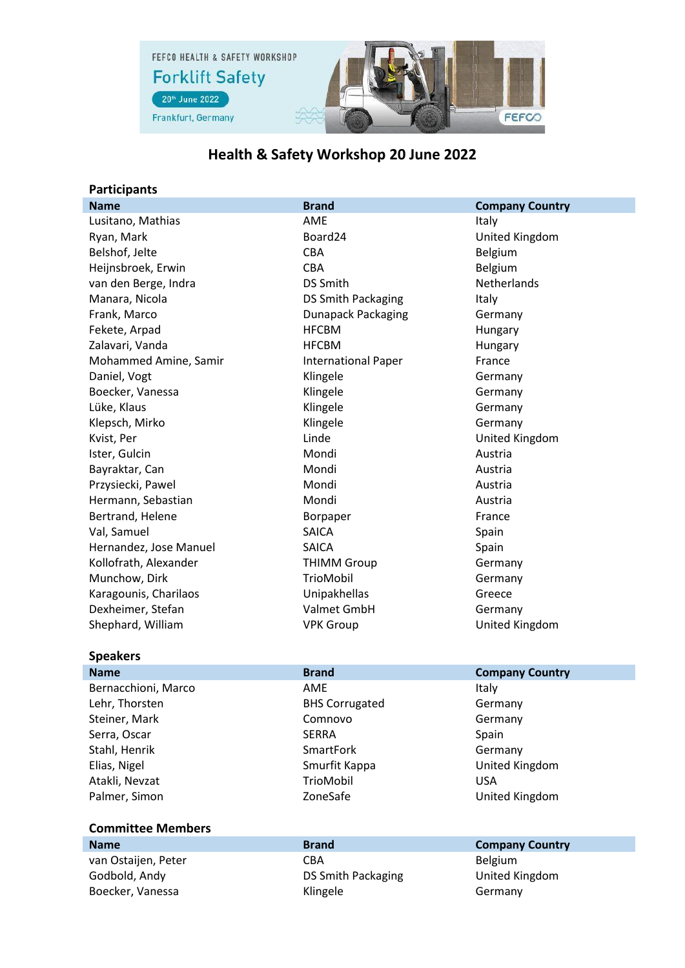

## **Health & Safety Workshop 20 June 2022**

## **Participants**

| <b>Name</b>            | <b>Brand</b>               | <b>Company Country</b> |
|------------------------|----------------------------|------------------------|
| Lusitano, Mathias      | AME                        | Italy                  |
| Ryan, Mark             | Board24                    | United Kingdom         |
| Belshof, Jelte         | <b>CBA</b>                 | Belgium                |
| Heijnsbroek, Erwin     | <b>CBA</b>                 | Belgium                |
| van den Berge, Indra   | <b>DS Smith</b>            | <b>Netherlands</b>     |
| Manara, Nicola         | DS Smith Packaging         | Italy                  |
| Frank, Marco           | <b>Dunapack Packaging</b>  | Germany                |
| Fekete, Arpad          | <b>HFCBM</b>               | Hungary                |
| Zalavari, Vanda        | <b>HFCBM</b>               | Hungary                |
| Mohammed Amine, Samir  | <b>International Paper</b> | France                 |
| Daniel, Vogt           | Klingele                   | Germany                |
| Boecker, Vanessa       | Klingele                   | Germany                |
| Lüke, Klaus            | Klingele                   | Germany                |
| Klepsch, Mirko         | Klingele                   | Germany                |
| Kvist, Per             | Linde                      | United Kingdom         |
| Ister, Gulcin          | Mondi                      | Austria                |
| Bayraktar, Can         | Mondi                      | Austria                |
| Przysiecki, Pawel      | Mondi                      | Austria                |
| Hermann, Sebastian     | Mondi                      | Austria                |
| Bertrand, Helene       | Borpaper                   | France                 |
| Val, Samuel            | <b>SAICA</b>               | Spain                  |
| Hernandez, Jose Manuel | <b>SAICA</b>               | Spain                  |
| Kollofrath, Alexander  | <b>THIMM Group</b>         | Germany                |
| Munchow, Dirk          | TrioMobil                  | Germany                |
| Karagounis, Charilaos  | Unipakhellas               | Greece                 |
| Dexheimer, Stefan      | Valmet GmbH                | Germany                |
| Shephard, William      | <b>VPK Group</b>           | United Kingdom         |
|                        |                            |                        |
| <b>Speakers</b>        |                            |                        |
| <b>Name</b>            | <b>Brand</b>               | <b>Company Country</b> |
| Bernacchioni, Marco    | AME                        | Italy                  |
| Lehr, Thorsten         | <b>BHS Corrugated</b>      | Germany                |
| Steiner, Mark          | Comnovo                    | Germany                |
| Serra, Oscar           | <b>SERRA</b>               | Spain                  |

Stahl, Henrik Germany Atakli, Nevzat **Matakli, Nevzat** Matakli, Nevzat Matakli, Nevzat Matakli, Nevzat Matakli, Nevzat Matakli, Nevza

## **Committee Members**

**Name Brand Company Country** van Ostaijen, Peter CBA CBA Belgium Godbold, Andy **DS Smith Packaging** United Kingdom Boecker, Vanessa **Klingele** Klingele Germany

Elias, Nigel Smurfit Kappa United Kingdom Palmer, Simon **National ConeSafe** ConeSafe **National ConeSafe** ConeSafe ConeSafe ConeSafe ConeSafe ConeSafe ConeSafe ConeSafe ConeSafe ConeSafe ConeSafe ConeSafe ConeSafe ConeSafe ConeSafe ConeSafe ConeSafe ConeSafe ConeSa